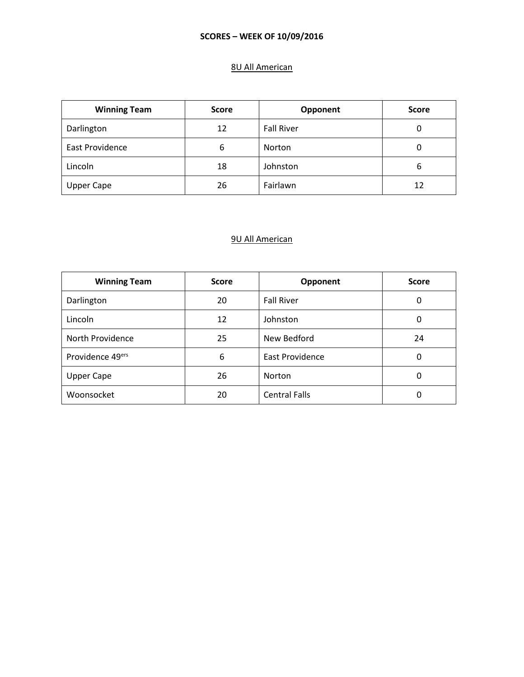# 8U All American

| <b>Winning Team</b>    | <b>Score</b> | Opponent          | <b>Score</b> |
|------------------------|--------------|-------------------|--------------|
| Darlington             | 12           | <b>Fall River</b> | 0            |
| <b>East Providence</b> | 6            | Norton            | 0            |
| Lincoln                | 18           | Johnston          | 6            |
| <b>Upper Cape</b>      | 26           | Fairlawn          | 12           |

| <b>Winning Team</b> | <b>Score</b> | Opponent               | <b>Score</b> |
|---------------------|--------------|------------------------|--------------|
| Darlington          | 20           | <b>Fall River</b>      | 0            |
| Lincoln             | 12           | Johnston               | 0            |
| North Providence    | 25           | New Bedford            | 24           |
| Providence 49ers    | 6            | <b>East Providence</b> | 0            |
| <b>Upper Cape</b>   | 26           | <b>Norton</b>          | 0            |
| Woonsocket          | 20           | <b>Central Falls</b>   | 0            |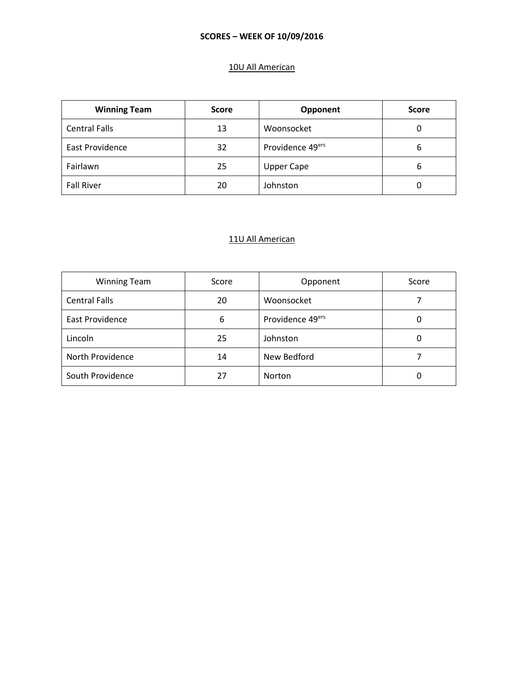# 10U All American

| <b>Winning Team</b>  | <b>Score</b> | Opponent          | <b>Score</b> |
|----------------------|--------------|-------------------|--------------|
| <b>Central Falls</b> | 13           | Woonsocket        | 0            |
| East Providence      | 32           | Providence 49ers  | 6            |
| Fairlawn             | 25           | <b>Upper Cape</b> | 6            |
| <b>Fall River</b>    | 20           | Johnston          | 0            |

| <b>Winning Team</b>  | Score | Opponent                     | Score |
|----------------------|-------|------------------------------|-------|
| <b>Central Falls</b> | 20    | Woonsocket                   |       |
| East Providence      | 6     | Providence 49 <sup>ers</sup> | O     |
| Lincoln              | 25    | Johnston                     | 0     |
| North Providence     | 14    | New Bedford                  |       |
| South Providence     | 27    | <b>Norton</b>                |       |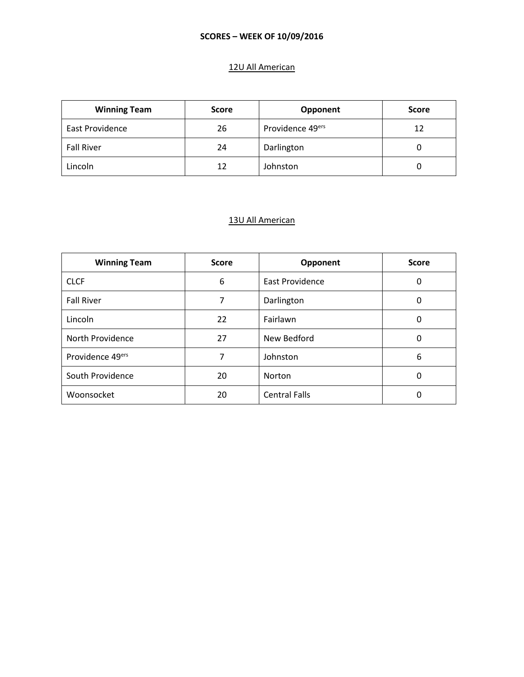## 12U All American

| <b>Winning Team</b> | <b>Score</b> | Opponent                     | <b>Score</b> |
|---------------------|--------------|------------------------------|--------------|
| East Providence     | 26           | Providence 49 <sup>ers</sup> | 12           |
| <b>Fall River</b>   | 24           | Darlington                   | Ü            |
| Lincoln             | 12           | Johnston                     |              |

| <b>Winning Team</b>          | <b>Score</b> | Opponent               | <b>Score</b> |
|------------------------------|--------------|------------------------|--------------|
| <b>CLCF</b>                  | 6            | <b>East Providence</b> | 0            |
| <b>Fall River</b>            | 7            | Darlington             | 0            |
| Lincoln                      | 22           | Fairlawn               | 0            |
| North Providence             | 27           | New Bedford            | $\Omega$     |
| Providence 49 <sup>ers</sup> | 7            | Johnston               | 6            |
| South Providence             | 20           | Norton                 | 0            |
| Woonsocket                   | 20           | <b>Central Falls</b>   | 0            |